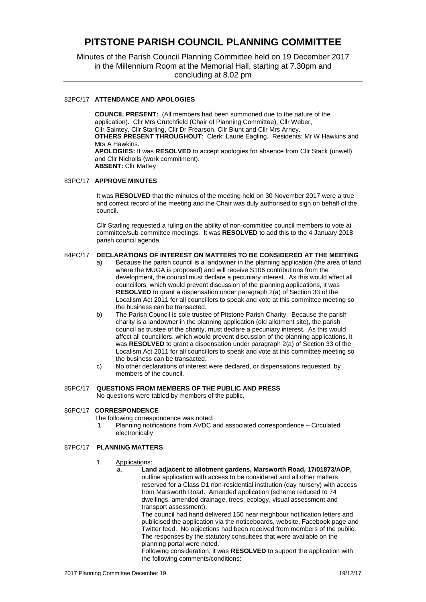# **PITSTONE PARISH COUNCIL PLANNING COMMITTEE**

Minutes of the Parish Council Planning Committee held on 19 December 2017 in the Millennium Room at the Memorial Hall, starting at 7.30pm and concluding at 8.02 pm

### 82PC/17 **ATTENDANCE AND APOLOGIES**

**COUNCIL PRESENT:** (All members had been summoned due to the nature of the application).Cllr Mrs Crutchfield (Chair of Planning Committee), Cllr Weber, Cllr Saintey, Cllr Starling, Cllr Dr Frearson, Cllr Blunt and Cllr Mrs Arney. **OTHERS PRESENT THROUGHOUT**: Clerk: Laurie Eagling. Residents: Mr W Hawkins and Mrs A Hawkins. **APOLOGIES:** It was **RESOLVED** to accept apologies for absence from Cllr Stack (unwell) and Cllr Nicholls (work commitment). **ABSENT:** Cllr Mattey

#### 83PC/17 **APPROVE MINUTES**

It was RESOLVED that the minutes of the meeting held on 30 November 2017 were a true and correct record of the meeting and the Chair was duly authorised to sign on behalf of the council.

Cllr Starling requested a ruling on the ability of non-committee council members to vote at committee/sub-committee meetings. It was **RESOLVED** to add this to the 4 January 2018 parish council agenda.

## 84PC/17 **DECLARATIONS OF INTEREST ON MATTERS TO BE CONSIDERED AT THE MEETING**

- a) Because the parish council is a landowner in the planning application (the area of land where the MUGA is proposed) and will receive S106 contributions from the development, the council must declare a pecuniary interest. As this would affect all councillors, which would prevent discussion of the planning applications, it was **RESOLVED** to grant a dispensation under paragraph 2(a) of Section 33 of the Localism Act 2011 for all councillors to speak and vote at this committee meeting so the business can be transacted.
- b) The Parish Council is sole trustee of Pitstone Parish Charity. Because the parish charity is a landowner in the planning application (old allotment site), the parish council as trustee of the charity, must declare a pecuniary interest. As this would affect all councillors, which would prevent discussion of the planning applications, it was **RESOLVED** to grant a dispensation under paragraph 2(a) of Section 33 of the Localism Act 2011 for all councillors to speak and vote at this committee meeting so the business can be transacted.
- c) No other declarations of interest were declared, or dispensations requested, by members of the council.

# 85PC/17 **QUESTIONS FROM MEMBERS OF THE PUBLIC AND PRESS**

No questions were tabled by members of the public.

# 86PC/17 **CORRESPONDENCE**

The following correspondence was noted:

1. Planning notifications from AVDC and associated correspondence – Circulated electronically

#### 87PC/17 **PLANNING MATTERS**

- 1. Applications:
	- a. **Land adjacent to allotment gardens, Marsworth Road, 17/01873/AOP,**  outline application with access to be considered and all other matters reserved for a Class D1 non-residential institution (day nursery) with access from Marsworth Road. Amended application (scheme reduced to 74 dwellings, amended drainage, trees, ecology, visual assessment and transport assessment).

The council had hand delivered 150 near neighbour notification letters and publicised the application via the noticeboards, website, Facebook page and Twitter feed. No objections had been received from members of the public. The responses by the statutory consultees that were available on the planning portal were noted.

Following consideration, it was **RESOLVED** to support the application with the following comments/conditions: